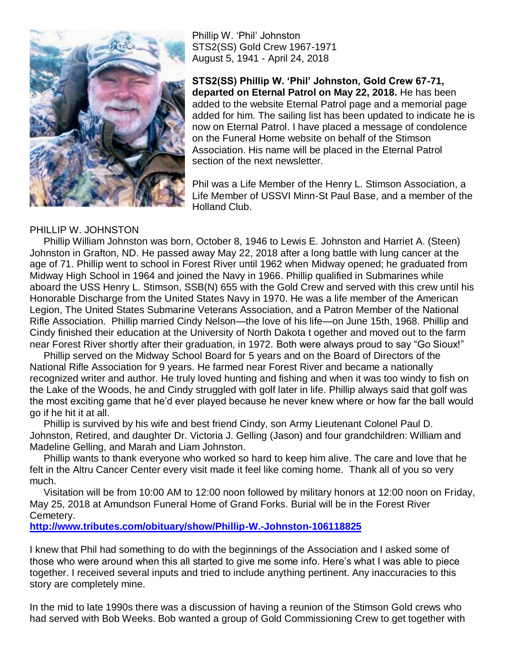

Phillip W. "Phil" Johnston STS2(SS) Gold Crew 1967-1971 August 5, 1941 - April 24, 2018

**STS2(SS) Phillip W. 'Phil' Johnston, Gold Crew 67-71, departed on Eternal Patrol on May 22, 2018.** He has been added to the website Eternal Patrol page and a memorial page added for him. The sailing list has been updated to indicate he is now on Eternal Patrol. I have placed a message of condolence on the Funeral Home website on behalf of the Stimson Association. His name will be placed in the Eternal Patrol section of the next newsletter.

Phil was a Life Member of the Henry L. Stimson Association, a Life Member of USSVI Minn-St Paul Base, and a member of the Holland Club.

## PHILLIP W. JOHNSTON

 Phillip William Johnston was born, October 8, 1946 to Lewis E. Johnston and Harriet A. (Steen) Johnston in Grafton, ND. He passed away May 22, 2018 after a long battle with lung cancer at the age of 71. Phillip went to school in Forest River until 1962 when Midway opened; he graduated from Midway High School in 1964 and joined the Navy in 1966. Phillip qualified in Submarines while aboard the USS Henry L. Stimson, SSB(N) 655 with the Gold Crew and served with this crew until his Honorable Discharge from the United States Navy in 1970. He was a life member of the American Legion, The United States Submarine Veterans Association, and a Patron Member of the National Rifle Association. Phillip married Cindy Nelson—the love of his life—on June 15th, 1968. Phillip and Cindy finished their education at the University of North Dakota t ogether and moved out to the farm near Forest River shortly after their graduation, in 1972. Both were always proud to say "Go Sioux!"

 Phillip served on the Midway School Board for 5 years and on the Board of Directors of the National Rifle Association for 9 years. He farmed near Forest River and became a nationally recognized writer and author. He truly loved hunting and fishing and when it was too windy to fish on the Lake of the Woods, he and Cindy struggled with golf later in life. Phillip always said that golf was the most exciting game that he"d ever played because he never knew where or how far the ball would go if he hit it at all.

 Phillip is survived by his wife and best friend Cindy, son Army Lieutenant Colonel Paul D. Johnston, Retired, and daughter Dr. Victoria J. Gelling (Jason) and four grandchildren: William and Madeline Gelling, and Marah and Liam Johnston.

 Phillip wants to thank everyone who worked so hard to keep him alive. The care and love that he felt in the Altru Cancer Center every visit made it feel like coming home. Thank all of you so very much.

 Visitation will be from 10:00 AM to 12:00 noon followed by military honors at 12:00 noon on Friday, May 25, 2018 at Amundson Funeral Home of Grand Forks. Burial will be in the Forest River Cemetery.

**<http://www.tributes.com/obituary/show/Phillip-W.-Johnston-106118825>**

I knew that Phil had something to do with the beginnings of the Association and I asked some of those who were around when this all started to give me some info. Here"s what I was able to piece together. I received several inputs and tried to include anything pertinent. Any inaccuracies to this story are completely mine.

In the mid to late 1990s there was a discussion of having a reunion of the Stimson Gold crews who had served with Bob Weeks. Bob wanted a group of Gold Commissioning Crew to get together with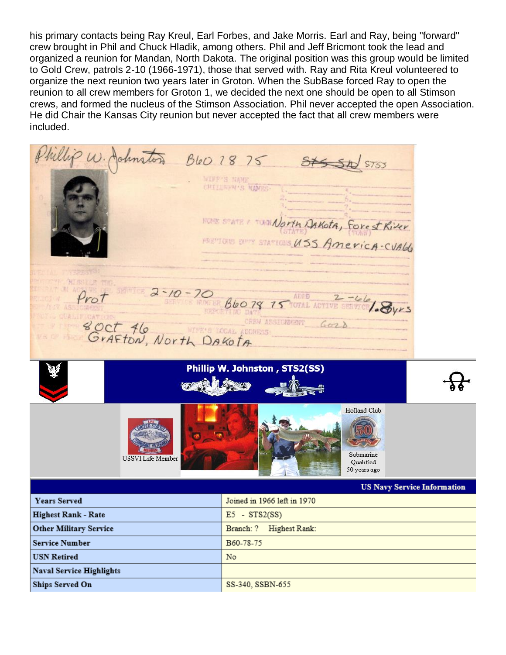his primary contacts being Ray Kreul, Earl Forbes, and Jake Morris. Earl and Ray, being "forward" crew brought in Phil and Chuck Hladik, among others. Phil and Jeff Bricmont took the lead and organized a reunion for Mandan, North Dakota. The original position was this group would be limited to Gold Crew, patrols 2-10 (1966-1971), those that served with. Ray and Rita Kreul volunteered to organize the next reunion two years later in Groton. When the SubBase forced Ray to open the reunion to all crew members for Groton 1, we decided the next one should be open to all Stimson crews, and formed the nucleus of the Stimson Association. Phil never accepted the open Association. He did Chair the Kansas City reunion but never accepted the fact that all crew members were included.

Phillip W. Johnston B60 18 75 Stsst STS5 WIFF'S NAME CHILDREN'S HORE STATE & TUNNAOFIN DAKOTA, Forest Kiver HETTOIS DITY STATIONS USS AMERICA-CVALL  $\frac{1}{\frac{2.66}{1000}}$   $\frac{2.40-70}{6000}$   $\frac{66079}{15}$  Total Active states / Syrs Prol<br>8 Oct 46, North DAKOTA CREW ASSICREMENT GOO A Phillip W. Johnston, STS2(SS) Holland Club Submarine **USSVI Life Member** Qualified 50 years ago **US Navy Service Information Years Served** Joined in 1966 left in 1970 Highest Rank - Rate  $E5 - STS2(SS)$ **Other Military Service** Branch: ? Highest Rank:

B60-78-75

SS-340, SSBN-655

No.

**Service Number** 

Ships Served On

**Naval Service Highlights** 

**USN Retired**